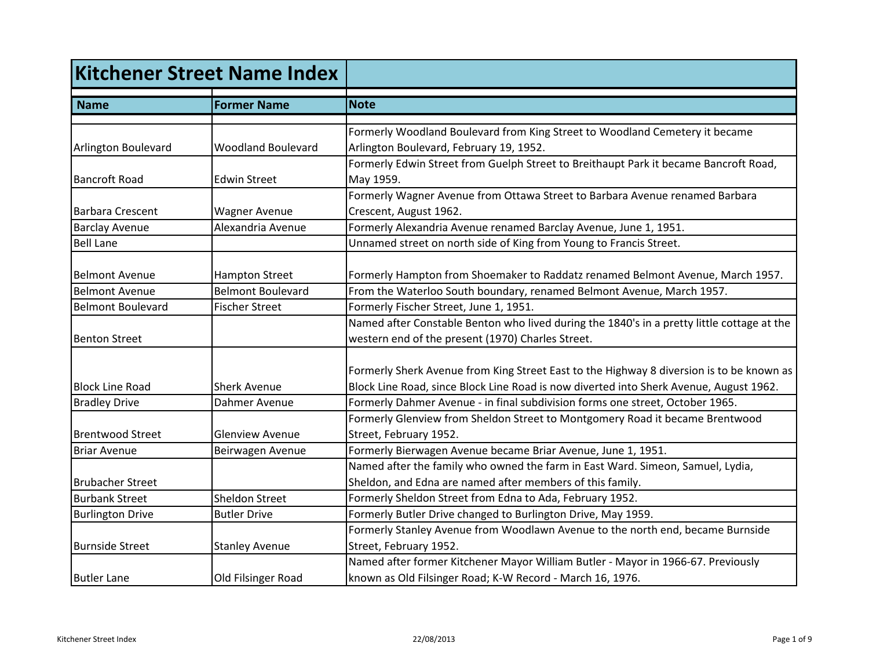| <b>Kitchener Street Name Index</b> |                           |                                                                                            |
|------------------------------------|---------------------------|--------------------------------------------------------------------------------------------|
| <b>Name</b>                        | <b>Former Name</b>        | <b>Note</b>                                                                                |
|                                    |                           |                                                                                            |
|                                    |                           | Formerly Woodland Boulevard from King Street to Woodland Cemetery it became                |
| Arlington Boulevard                | <b>Woodland Boulevard</b> | Arlington Boulevard, February 19, 1952.                                                    |
| <b>Bancroft Road</b>               | <b>Edwin Street</b>       | Formerly Edwin Street from Guelph Street to Breithaupt Park it became Bancroft Road,       |
|                                    |                           | May 1959.                                                                                  |
|                                    |                           | Formerly Wagner Avenue from Ottawa Street to Barbara Avenue renamed Barbara                |
| Barbara Crescent                   | <b>Wagner Avenue</b>      | Crescent, August 1962.                                                                     |
| <b>Barclay Avenue</b>              | Alexandria Avenue         | Formerly Alexandria Avenue renamed Barclay Avenue, June 1, 1951.                           |
| <b>Bell Lane</b>                   |                           | Unnamed street on north side of King from Young to Francis Street.                         |
| <b>Belmont Avenue</b>              | Hampton Street            | Formerly Hampton from Shoemaker to Raddatz renamed Belmont Avenue, March 1957.             |
| <b>Belmont Avenue</b>              | <b>Belmont Boulevard</b>  | From the Waterloo South boundary, renamed Belmont Avenue, March 1957.                      |
| <b>Belmont Boulevard</b>           | <b>Fischer Street</b>     | Formerly Fischer Street, June 1, 1951.                                                     |
|                                    |                           | Named after Constable Benton who lived during the 1840's in a pretty little cottage at the |
| <b>Benton Street</b>               |                           | western end of the present (1970) Charles Street.                                          |
|                                    |                           |                                                                                            |
|                                    |                           | Formerly Sherk Avenue from King Street East to the Highway 8 diversion is to be known as   |
| <b>Block Line Road</b>             | <b>Sherk Avenue</b>       | Block Line Road, since Block Line Road is now diverted into Sherk Avenue, August 1962.     |
| <b>Bradley Drive</b>               | Dahmer Avenue             | Formerly Dahmer Avenue - in final subdivision forms one street, October 1965.              |
|                                    |                           | Formerly Glenview from Sheldon Street to Montgomery Road it became Brentwood               |
| <b>Brentwood Street</b>            | <b>Glenview Avenue</b>    | Street, February 1952.                                                                     |
| <b>Briar Avenue</b>                | Beirwagen Avenue          | Formerly Bierwagen Avenue became Briar Avenue, June 1, 1951.                               |
|                                    |                           | Named after the family who owned the farm in East Ward. Simeon, Samuel, Lydia,             |
| <b>Brubacher Street</b>            |                           | Sheldon, and Edna are named after members of this family.                                  |
| <b>Burbank Street</b>              | <b>Sheldon Street</b>     | Formerly Sheldon Street from Edna to Ada, February 1952.                                   |
| <b>Burlington Drive</b>            | <b>Butler Drive</b>       | Formerly Butler Drive changed to Burlington Drive, May 1959.                               |
|                                    |                           | Formerly Stanley Avenue from Woodlawn Avenue to the north end, became Burnside             |
| <b>Burnside Street</b>             | <b>Stanley Avenue</b>     | Street, February 1952.                                                                     |
|                                    |                           | Named after former Kitchener Mayor William Butler - Mayor in 1966-67. Previously           |
| <b>Butler Lane</b>                 | Old Filsinger Road        | known as Old Filsinger Road; K-W Record - March 16, 1976.                                  |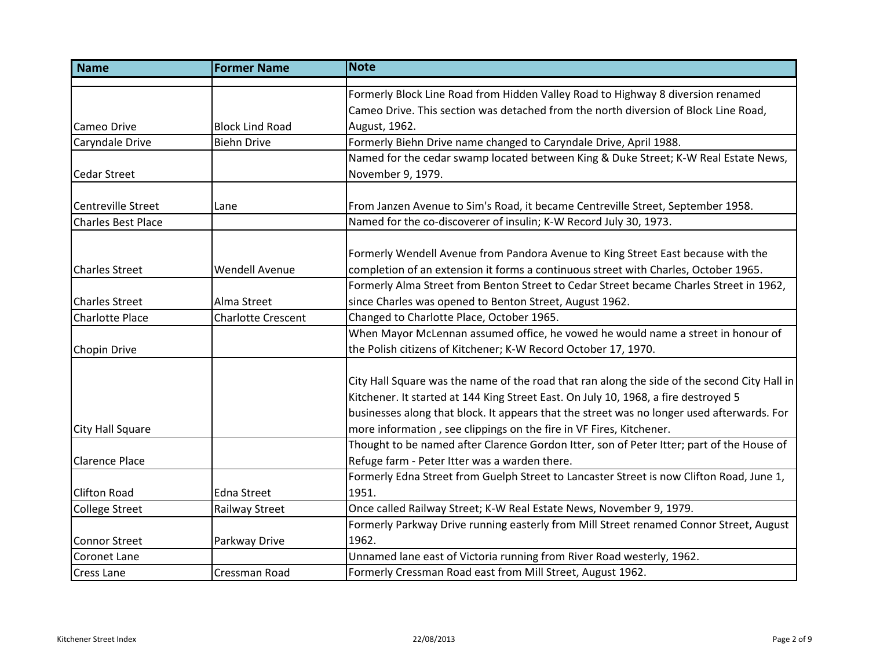| <b>Name</b>               | <b>Former Name</b>        | <b>Note</b>                                                                                  |
|---------------------------|---------------------------|----------------------------------------------------------------------------------------------|
|                           |                           | Formerly Block Line Road from Hidden Valley Road to Highway 8 diversion renamed              |
|                           |                           | Cameo Drive. This section was detached from the north diversion of Block Line Road,          |
| Cameo Drive               | <b>Block Lind Road</b>    | August, 1962.                                                                                |
| Caryndale Drive           | <b>Biehn Drive</b>        | Formerly Biehn Drive name changed to Caryndale Drive, April 1988.                            |
|                           |                           | Named for the cedar swamp located between King & Duke Street; K-W Real Estate News,          |
| Cedar Street              |                           | November 9, 1979.                                                                            |
| Centreville Street        | Lane                      | From Janzen Avenue to Sim's Road, it became Centreville Street, September 1958.              |
| <b>Charles Best Place</b> |                           | Named for the co-discoverer of insulin; K-W Record July 30, 1973.                            |
|                           |                           |                                                                                              |
|                           |                           | Formerly Wendell Avenue from Pandora Avenue to King Street East because with the             |
| <b>Charles Street</b>     | <b>Wendell Avenue</b>     | completion of an extension it forms a continuous street with Charles, October 1965.          |
|                           |                           | Formerly Alma Street from Benton Street to Cedar Street became Charles Street in 1962,       |
| <b>Charles Street</b>     | Alma Street               | since Charles was opened to Benton Street, August 1962.                                      |
| <b>Charlotte Place</b>    | <b>Charlotte Crescent</b> | Changed to Charlotte Place, October 1965.                                                    |
|                           |                           | When Mayor McLennan assumed office, he vowed he would name a street in honour of             |
| Chopin Drive              |                           | the Polish citizens of Kitchener; K-W Record October 17, 1970.                               |
|                           |                           |                                                                                              |
|                           |                           | City Hall Square was the name of the road that ran along the side of the second City Hall in |
|                           |                           | Kitchener. It started at 144 King Street East. On July 10, 1968, a fire destroyed 5          |
|                           |                           | businesses along that block. It appears that the street was no longer used afterwards. For   |
| City Hall Square          |                           | more information, see clippings on the fire in VF Fires, Kitchener.                          |
|                           |                           | Thought to be named after Clarence Gordon Itter, son of Peter Itter; part of the House of    |
| <b>Clarence Place</b>     |                           | Refuge farm - Peter Itter was a warden there.                                                |
|                           |                           | Formerly Edna Street from Guelph Street to Lancaster Street is now Clifton Road, June 1,     |
| <b>Clifton Road</b>       | <b>Edna Street</b>        | 1951.                                                                                        |
| College Street            | Railway Street            | Once called Railway Street; K-W Real Estate News, November 9, 1979.                          |
|                           |                           | Formerly Parkway Drive running easterly from Mill Street renamed Connor Street, August       |
| Connor Street             | Parkway Drive             | 1962.                                                                                        |
| <b>Coronet Lane</b>       |                           | Unnamed lane east of Victoria running from River Road westerly, 1962.                        |
| <b>Cress Lane</b>         | Cressman Road             | Formerly Cressman Road east from Mill Street, August 1962.                                   |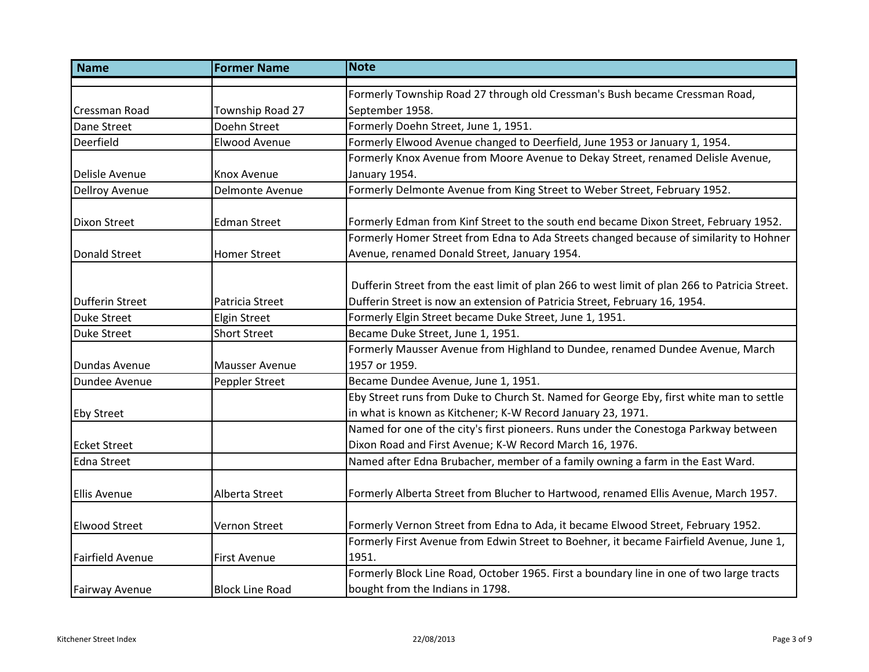| <b>Name</b>           | <b>Former Name</b>     | <b>Note</b>                                                                                   |
|-----------------------|------------------------|-----------------------------------------------------------------------------------------------|
|                       |                        | Formerly Township Road 27 through old Cressman's Bush became Cressman Road,                   |
| <b>Cressman Road</b>  | Township Road 27       | September 1958.                                                                               |
| Dane Street           | Doehn Street           | Formerly Doehn Street, June 1, 1951.                                                          |
| Deerfield             | <b>Elwood Avenue</b>   | Formerly Elwood Avenue changed to Deerfield, June 1953 or January 1, 1954.                    |
|                       |                        | Formerly Knox Avenue from Moore Avenue to Dekay Street, renamed Delisle Avenue,               |
| Delisle Avenue        | <b>Knox Avenue</b>     | January 1954.                                                                                 |
| <b>Dellroy Avenue</b> | Delmonte Avenue        | Formerly Delmonte Avenue from King Street to Weber Street, February 1952.                     |
| <b>Dixon Street</b>   | <b>Edman Street</b>    | Formerly Edman from Kinf Street to the south end became Dixon Street, February 1952.          |
|                       |                        | Formerly Homer Street from Edna to Ada Streets changed because of similarity to Hohner        |
| Donald Street         | <b>Homer Street</b>    | Avenue, renamed Donald Street, January 1954.                                                  |
|                       |                        |                                                                                               |
|                       |                        | Dufferin Street from the east limit of plan 266 to west limit of plan 266 to Patricia Street. |
| Dufferin Street       | Patricia Street        | Dufferin Street is now an extension of Patricia Street, February 16, 1954.                    |
| <b>Duke Street</b>    | <b>Elgin Street</b>    | Formerly Elgin Street became Duke Street, June 1, 1951.                                       |
| <b>Duke Street</b>    | <b>Short Street</b>    | Became Duke Street, June 1, 1951.                                                             |
|                       |                        | Formerly Mausser Avenue from Highland to Dundee, renamed Dundee Avenue, March                 |
| Dundas Avenue         | <b>Mausser Avenue</b>  | 1957 or 1959.                                                                                 |
| Dundee Avenue         | Peppler Street         | Became Dundee Avenue, June 1, 1951.                                                           |
|                       |                        | Eby Street runs from Duke to Church St. Named for George Eby, first white man to settle       |
| <b>Eby Street</b>     |                        | in what is known as Kitchener; K-W Record January 23, 1971.                                   |
|                       |                        | Named for one of the city's first pioneers. Runs under the Conestoga Parkway between          |
| <b>Ecket Street</b>   |                        | Dixon Road and First Avenue; K-W Record March 16, 1976.                                       |
| Edna Street           |                        | Named after Edna Brubacher, member of a family owning a farm in the East Ward.                |
| <b>Ellis Avenue</b>   | Alberta Street         | Formerly Alberta Street from Blucher to Hartwood, renamed Ellis Avenue, March 1957.           |
|                       |                        |                                                                                               |
| <b>Elwood Street</b>  | Vernon Street          | Formerly Vernon Street from Edna to Ada, it became Elwood Street, February 1952.              |
|                       |                        | Formerly First Avenue from Edwin Street to Boehner, it became Fairfield Avenue, June 1,       |
| Fairfield Avenue      | <b>First Avenue</b>    | 1951.                                                                                         |
|                       |                        | Formerly Block Line Road, October 1965. First a boundary line in one of two large tracts      |
| <b>Fairway Avenue</b> | <b>Block Line Road</b> | bought from the Indians in 1798.                                                              |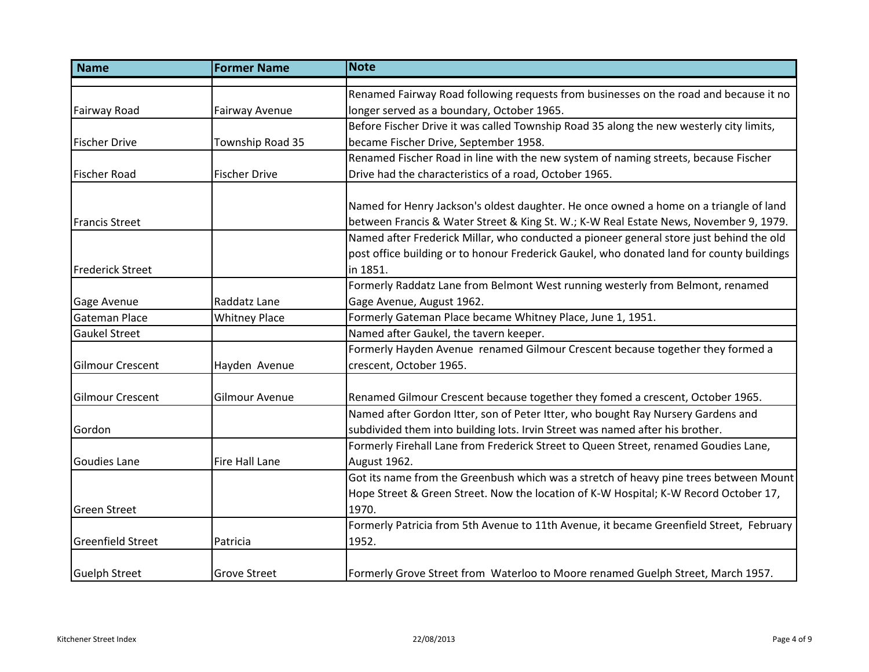| <b>Name</b>              | <b>Former Name</b>    | <b>Note</b>                                                                                                                                                                    |
|--------------------------|-----------------------|--------------------------------------------------------------------------------------------------------------------------------------------------------------------------------|
|                          |                       | Renamed Fairway Road following requests from businesses on the road and because it no                                                                                          |
| Fairway Road             | Fairway Avenue        | longer served as a boundary, October 1965.                                                                                                                                     |
|                          |                       | Before Fischer Drive it was called Township Road 35 along the new westerly city limits,                                                                                        |
| <b>Fischer Drive</b>     | Township Road 35      | became Fischer Drive, September 1958.                                                                                                                                          |
|                          |                       | Renamed Fischer Road in line with the new system of naming streets, because Fischer                                                                                            |
| <b>Fischer Road</b>      | <b>Fischer Drive</b>  | Drive had the characteristics of a road, October 1965.                                                                                                                         |
|                          |                       |                                                                                                                                                                                |
| <b>Francis Street</b>    |                       | Named for Henry Jackson's oldest daughter. He once owned a home on a triangle of land<br>between Francis & Water Street & King St. W.; K-W Real Estate News, November 9, 1979. |
|                          |                       |                                                                                                                                                                                |
|                          |                       | Named after Frederick Millar, who conducted a pioneer general store just behind the old                                                                                        |
|                          |                       | post office building or to honour Frederick Gaukel, who donated land for county buildings                                                                                      |
| <b>Frederick Street</b>  |                       | in 1851.                                                                                                                                                                       |
|                          |                       | Formerly Raddatz Lane from Belmont West running westerly from Belmont, renamed                                                                                                 |
| Gage Avenue              | Raddatz Lane          | Gage Avenue, August 1962.                                                                                                                                                      |
| <b>Gateman Place</b>     | <b>Whitney Place</b>  | Formerly Gateman Place became Whitney Place, June 1, 1951.                                                                                                                     |
| <b>Gaukel Street</b>     |                       | Named after Gaukel, the tavern keeper.                                                                                                                                         |
|                          |                       | Formerly Hayden Avenue renamed Gilmour Crescent because together they formed a                                                                                                 |
| Gilmour Crescent         | Hayden Avenue         | crescent, October 1965.                                                                                                                                                        |
| Gilmour Crescent         | <b>Gilmour Avenue</b> | Renamed Gilmour Crescent because together they fomed a crescent, October 1965.                                                                                                 |
|                          |                       | Named after Gordon Itter, son of Peter Itter, who bought Ray Nursery Gardens and                                                                                               |
| Gordon                   |                       | subdivided them into building lots. Irvin Street was named after his brother.                                                                                                  |
|                          |                       | Formerly Firehall Lane from Frederick Street to Queen Street, renamed Goudies Lane,                                                                                            |
| Goudies Lane             | <b>Fire Hall Lane</b> | August 1962.                                                                                                                                                                   |
|                          |                       | Got its name from the Greenbush which was a stretch of heavy pine trees between Mount                                                                                          |
|                          |                       | Hope Street & Green Street. Now the location of K-W Hospital; K-W Record October 17,                                                                                           |
| <b>Green Street</b>      |                       | 1970.                                                                                                                                                                          |
|                          |                       | Formerly Patricia from 5th Avenue to 11th Avenue, it became Greenfield Street, February                                                                                        |
| <b>Greenfield Street</b> | Patricia              | 1952.                                                                                                                                                                          |
| <b>Guelph Street</b>     | <b>Grove Street</b>   | Formerly Grove Street from Waterloo to Moore renamed Guelph Street, March 1957.                                                                                                |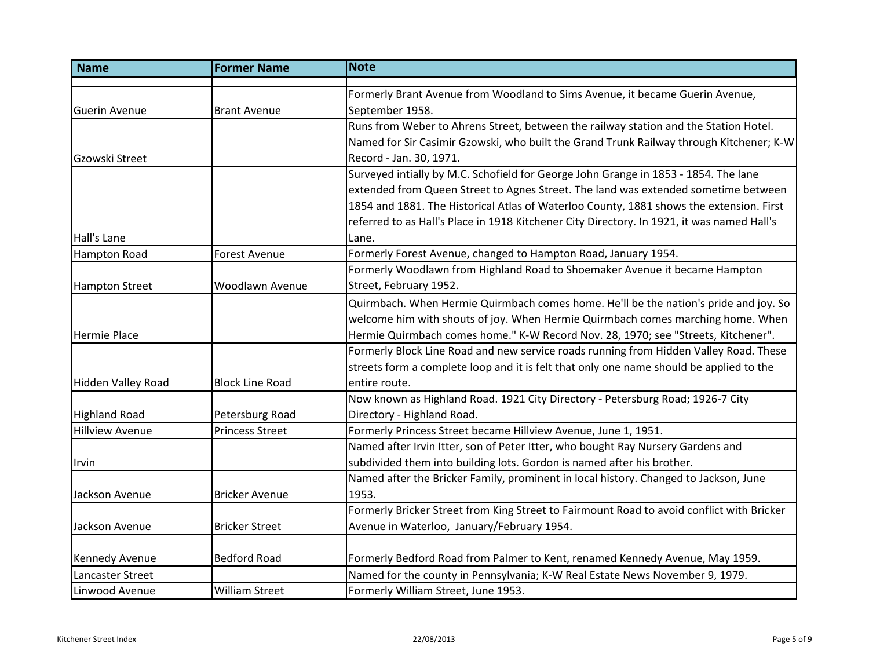| <b>Name</b>            | <b>Former Name</b>     | <b>Note</b>                                                                                |
|------------------------|------------------------|--------------------------------------------------------------------------------------------|
|                        |                        | Formerly Brant Avenue from Woodland to Sims Avenue, it became Guerin Avenue,               |
| <b>Guerin Avenue</b>   | <b>Brant Avenue</b>    | September 1958.                                                                            |
|                        |                        | Runs from Weber to Ahrens Street, between the railway station and the Station Hotel.       |
|                        |                        | Named for Sir Casimir Gzowski, who built the Grand Trunk Railway through Kitchener; K-W    |
| Gzowski Street         |                        | Record - Jan. 30, 1971.                                                                    |
|                        |                        | Surveyed intially by M.C. Schofield for George John Grange in 1853 - 1854. The lane        |
|                        |                        | extended from Queen Street to Agnes Street. The land was extended sometime between         |
|                        |                        | 1854 and 1881. The Historical Atlas of Waterloo County, 1881 shows the extension. First    |
|                        |                        | referred to as Hall's Place in 1918 Kitchener City Directory. In 1921, it was named Hall's |
| Hall's Lane            |                        | Lane.                                                                                      |
| <b>Hampton Road</b>    | <b>Forest Avenue</b>   | Formerly Forest Avenue, changed to Hampton Road, January 1954.                             |
|                        |                        | Formerly Woodlawn from Highland Road to Shoemaker Avenue it became Hampton                 |
| Hampton Street         | Woodlawn Avenue        | Street, February 1952.                                                                     |
|                        |                        | Quirmbach. When Hermie Quirmbach comes home. He'll be the nation's pride and joy. So       |
|                        |                        | welcome him with shouts of joy. When Hermie Quirmbach comes marching home. When            |
| Hermie Place           |                        | Hermie Quirmbach comes home." K-W Record Nov. 28, 1970; see "Streets, Kitchener".          |
|                        |                        | Formerly Block Line Road and new service roads running from Hidden Valley Road. These      |
|                        |                        | streets form a complete loop and it is felt that only one name should be applied to the    |
| Hidden Valley Road     | <b>Block Line Road</b> | entire route.                                                                              |
|                        |                        | Now known as Highland Road. 1921 City Directory - Petersburg Road; 1926-7 City             |
| <b>Highland Road</b>   | Petersburg Road        | Directory - Highland Road.                                                                 |
| <b>Hillview Avenue</b> | <b>Princess Street</b> | Formerly Princess Street became Hillview Avenue, June 1, 1951.                             |
|                        |                        | Named after Irvin Itter, son of Peter Itter, who bought Ray Nursery Gardens and            |
| Irvin                  |                        | subdivided them into building lots. Gordon is named after his brother.                     |
|                        |                        | Named after the Bricker Family, prominent in local history. Changed to Jackson, June       |
| Jackson Avenue         | <b>Bricker Avenue</b>  | 1953.                                                                                      |
|                        |                        | Formerly Bricker Street from King Street to Fairmount Road to avoid conflict with Bricker  |
| Jackson Avenue         | <b>Bricker Street</b>  | Avenue in Waterloo, January/February 1954.                                                 |
|                        |                        |                                                                                            |
| Kennedy Avenue         | <b>Bedford Road</b>    | Formerly Bedford Road from Palmer to Kent, renamed Kennedy Avenue, May 1959.               |
| Lancaster Street       |                        | Named for the county in Pennsylvania; K-W Real Estate News November 9, 1979.               |
| Linwood Avenue         | <b>William Street</b>  | Formerly William Street, June 1953.                                                        |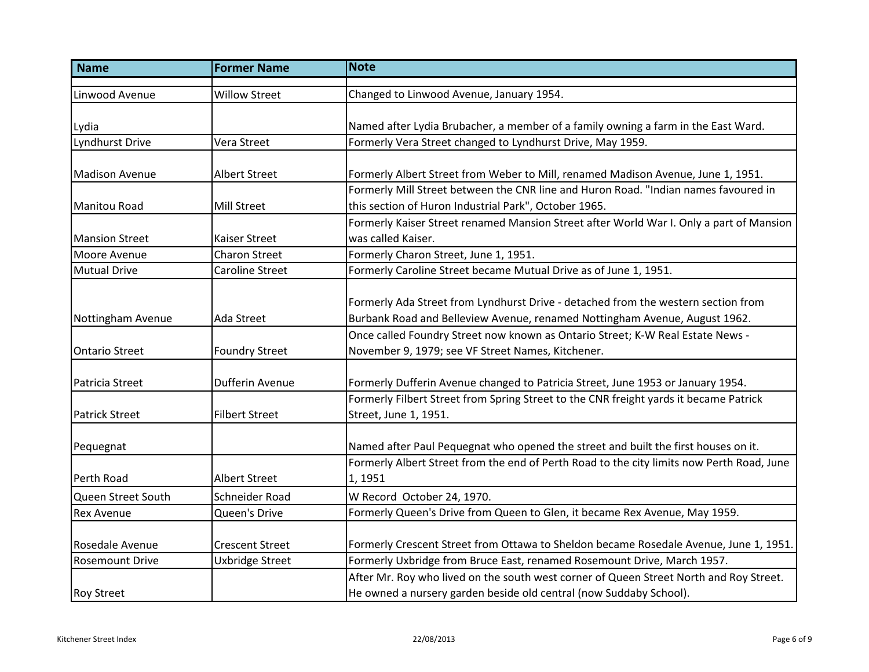| <b>Name</b>            | <b>Former Name</b>     | <b>Note</b>                                                                               |
|------------------------|------------------------|-------------------------------------------------------------------------------------------|
| Linwood Avenue         | <b>Willow Street</b>   | Changed to Linwood Avenue, January 1954.                                                  |
|                        |                        |                                                                                           |
| Lydia                  |                        | Named after Lydia Brubacher, a member of a family owning a farm in the East Ward.         |
| <b>Lyndhurst Drive</b> | Vera Street            | Formerly Vera Street changed to Lyndhurst Drive, May 1959.                                |
|                        |                        |                                                                                           |
| <b>Madison Avenue</b>  | <b>Albert Street</b>   | Formerly Albert Street from Weber to Mill, renamed Madison Avenue, June 1, 1951.          |
|                        |                        | Formerly Mill Street between the CNR line and Huron Road. "Indian names favoured in       |
| <b>Manitou Road</b>    | <b>Mill Street</b>     | this section of Huron Industrial Park", October 1965.                                     |
|                        |                        | Formerly Kaiser Street renamed Mansion Street after World War I. Only a part of Mansion   |
| <b>Mansion Street</b>  | <b>Kaiser Street</b>   | was called Kaiser.                                                                        |
| Moore Avenue           | <b>Charon Street</b>   | Formerly Charon Street, June 1, 1951.                                                     |
| <b>Mutual Drive</b>    | Caroline Street        | Formerly Caroline Street became Mutual Drive as of June 1, 1951.                          |
|                        |                        |                                                                                           |
|                        |                        | Formerly Ada Street from Lyndhurst Drive - detached from the western section from         |
| Nottingham Avenue      | Ada Street             | Burbank Road and Belleview Avenue, renamed Nottingham Avenue, August 1962.                |
|                        |                        | Once called Foundry Street now known as Ontario Street; K-W Real Estate News -            |
| <b>Ontario Street</b>  | <b>Foundry Street</b>  | November 9, 1979; see VF Street Names, Kitchener.                                         |
|                        |                        |                                                                                           |
| Patricia Street        | <b>Dufferin Avenue</b> | Formerly Dufferin Avenue changed to Patricia Street, June 1953 or January 1954.           |
|                        |                        | Formerly Filbert Street from Spring Street to the CNR freight yards it became Patrick     |
| <b>Patrick Street</b>  | <b>Filbert Street</b>  | Street, June 1, 1951.                                                                     |
|                        |                        |                                                                                           |
| Pequegnat              |                        | Named after Paul Pequegnat who opened the street and built the first houses on it.        |
|                        |                        | Formerly Albert Street from the end of Perth Road to the city limits now Perth Road, June |
| Perth Road             | <b>Albert Street</b>   | 1,1951                                                                                    |
| Queen Street South     | Schneider Road         | W Record October 24, 1970.                                                                |
| Rex Avenue             | Queen's Drive          | Formerly Queen's Drive from Queen to Glen, it became Rex Avenue, May 1959.                |
|                        |                        |                                                                                           |
| Rosedale Avenue        | <b>Crescent Street</b> | Formerly Crescent Street from Ottawa to Sheldon became Rosedale Avenue, June 1, 1951.     |
| <b>Rosemount Drive</b> | Uxbridge Street        | Formerly Uxbridge from Bruce East, renamed Rosemount Drive, March 1957.                   |
|                        |                        | After Mr. Roy who lived on the south west corner of Queen Street North and Roy Street.    |
| <b>Roy Street</b>      |                        | He owned a nursery garden beside old central (now Suddaby School).                        |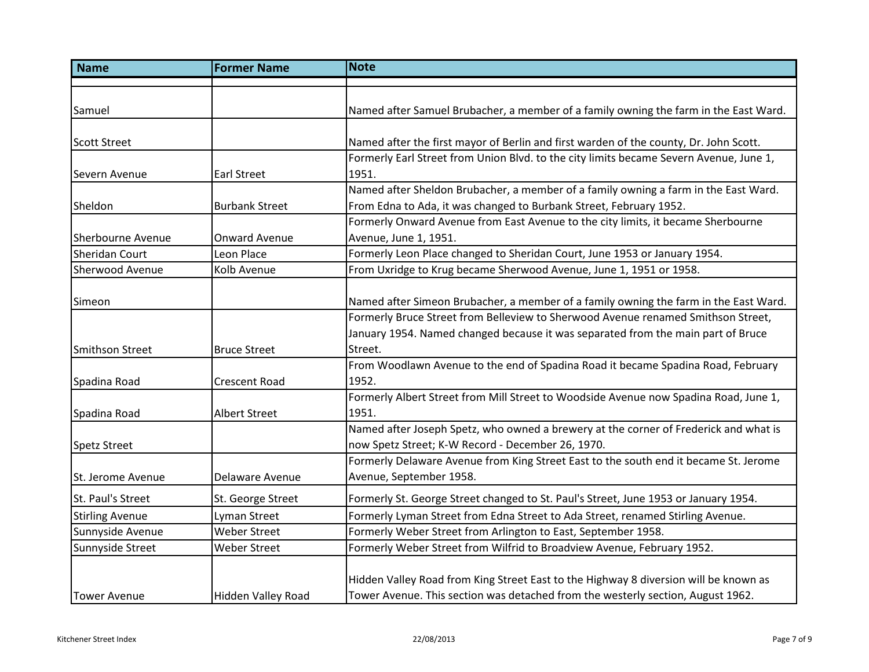| <b>Name</b>              | <b>Former Name</b>    | <b>Note</b>                                                                            |
|--------------------------|-----------------------|----------------------------------------------------------------------------------------|
|                          |                       |                                                                                        |
| Samuel                   |                       | Named after Samuel Brubacher, a member of a family owning the farm in the East Ward.   |
| <b>Scott Street</b>      |                       | Named after the first mayor of Berlin and first warden of the county, Dr. John Scott.  |
|                          |                       | Formerly Earl Street from Union Blvd. to the city limits became Severn Avenue, June 1, |
| Severn Avenue            | <b>Earl Street</b>    | 1951.                                                                                  |
|                          |                       | Named after Sheldon Brubacher, a member of a family owning a farm in the East Ward.    |
| Sheldon                  | <b>Burbank Street</b> | From Edna to Ada, it was changed to Burbank Street, February 1952.                     |
|                          |                       | Formerly Onward Avenue from East Avenue to the city limits, it became Sherbourne       |
| <b>Sherbourne Avenue</b> | Onward Avenue         | Avenue, June 1, 1951.                                                                  |
| Sheridan Court           | Leon Place            | Formerly Leon Place changed to Sheridan Court, June 1953 or January 1954.              |
| <b>Sherwood Avenue</b>   | Kolb Avenue           | From Uxridge to Krug became Sherwood Avenue, June 1, 1951 or 1958.                     |
|                          |                       |                                                                                        |
| Simeon                   |                       | Named after Simeon Brubacher, a member of a family owning the farm in the East Ward.   |
|                          |                       | Formerly Bruce Street from Belleview to Sherwood Avenue renamed Smithson Street,       |
|                          |                       | January 1954. Named changed because it was separated from the main part of Bruce       |
| <b>Smithson Street</b>   | <b>Bruce Street</b>   | Street.                                                                                |
|                          |                       | From Woodlawn Avenue to the end of Spadina Road it became Spadina Road, February       |
| Spadina Road             | <b>Crescent Road</b>  | 1952.                                                                                  |
|                          |                       | Formerly Albert Street from Mill Street to Woodside Avenue now Spadina Road, June 1,   |
| Spadina Road             | <b>Albert Street</b>  | 1951.                                                                                  |
|                          |                       | Named after Joseph Spetz, who owned a brewery at the corner of Frederick and what is   |
| <b>Spetz Street</b>      |                       | now Spetz Street; K-W Record - December 26, 1970.                                      |
|                          |                       | Formerly Delaware Avenue from King Street East to the south end it became St. Jerome   |
| St. Jerome Avenue        | Delaware Avenue       | Avenue, September 1958.                                                                |
| St. Paul's Street        | St. George Street     | Formerly St. George Street changed to St. Paul's Street, June 1953 or January 1954.    |
| <b>Stirling Avenue</b>   | Lyman Street          | Formerly Lyman Street from Edna Street to Ada Street, renamed Stirling Avenue.         |
| Sunnyside Avenue         | <b>Weber Street</b>   | Formerly Weber Street from Arlington to East, September 1958.                          |
| Sunnyside Street         | <b>Weber Street</b>   | Formerly Weber Street from Wilfrid to Broadview Avenue, February 1952.                 |
|                          |                       | Hidden Valley Road from King Street East to the Highway 8 diversion will be known as   |
|                          |                       |                                                                                        |
| <b>Tower Avenue</b>      | Hidden Valley Road    | Tower Avenue. This section was detached from the westerly section, August 1962.        |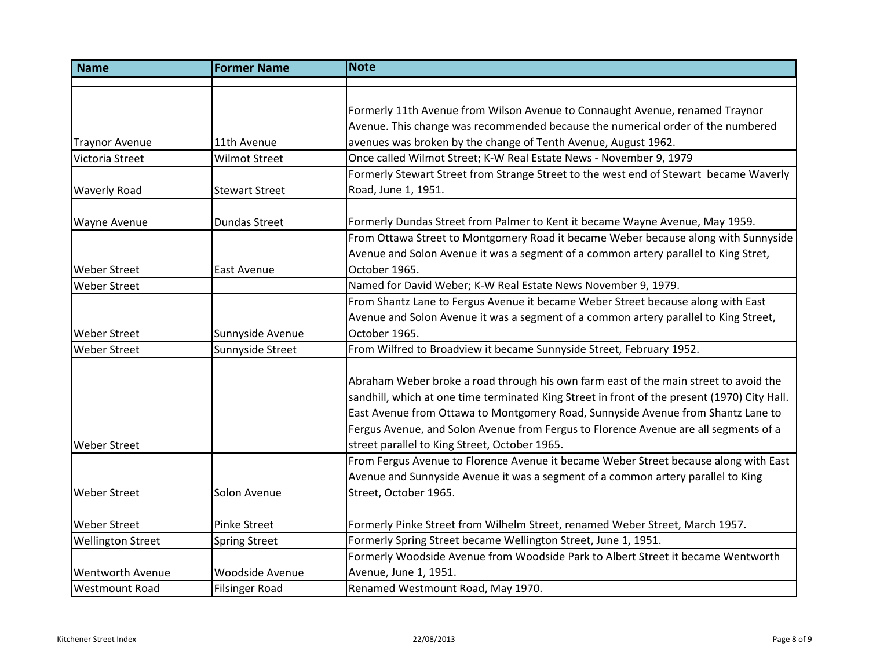| <b>Name</b>              | <b>Former Name</b>     | <b>Note</b>                                                                                  |
|--------------------------|------------------------|----------------------------------------------------------------------------------------------|
|                          |                        |                                                                                              |
|                          |                        | Formerly 11th Avenue from Wilson Avenue to Connaught Avenue, renamed Traynor                 |
|                          |                        | Avenue. This change was recommended because the numerical order of the numbered              |
| <b>Traynor Avenue</b>    | 11th Avenue            | avenues was broken by the change of Tenth Avenue, August 1962.                               |
| Victoria Street          | <b>Wilmot Street</b>   | Once called Wilmot Street; K-W Real Estate News - November 9, 1979                           |
|                          |                        | Formerly Stewart Street from Strange Street to the west end of Stewart became Waverly        |
| <b>Waverly Road</b>      | <b>Stewart Street</b>  | Road, June 1, 1951.                                                                          |
|                          |                        |                                                                                              |
| Wayne Avenue             | <b>Dundas Street</b>   | Formerly Dundas Street from Palmer to Kent it became Wayne Avenue, May 1959.                 |
|                          |                        | From Ottawa Street to Montgomery Road it became Weber because along with Sunnyside           |
|                          |                        | Avenue and Solon Avenue it was a segment of a common artery parallel to King Stret,          |
| <b>Weber Street</b>      | East Avenue            | October 1965.                                                                                |
| <b>Weber Street</b>      |                        | Named for David Weber; K-W Real Estate News November 9, 1979.                                |
|                          |                        | From Shantz Lane to Fergus Avenue it became Weber Street because along with East             |
|                          |                        | Avenue and Solon Avenue it was a segment of a common artery parallel to King Street,         |
| <b>Weber Street</b>      | Sunnyside Avenue       | October 1965.                                                                                |
| <b>Weber Street</b>      | Sunnyside Street       | From Wilfred to Broadview it became Sunnyside Street, February 1952.                         |
|                          |                        |                                                                                              |
|                          |                        | Abraham Weber broke a road through his own farm east of the main street to avoid the         |
|                          |                        | sandhill, which at one time terminated King Street in front of the present (1970) City Hall. |
|                          |                        | East Avenue from Ottawa to Montgomery Road, Sunnyside Avenue from Shantz Lane to             |
|                          |                        | Fergus Avenue, and Solon Avenue from Fergus to Florence Avenue are all segments of a         |
| <b>Weber Street</b>      |                        | street parallel to King Street, October 1965.                                                |
|                          |                        | From Fergus Avenue to Florence Avenue it became Weber Street because along with East         |
|                          |                        | Avenue and Sunnyside Avenue it was a segment of a common artery parallel to King             |
| <b>Weber Street</b>      | Solon Avenue           | Street, October 1965.                                                                        |
|                          |                        |                                                                                              |
| <b>Weber Street</b>      | <b>Pinke Street</b>    | Formerly Pinke Street from Wilhelm Street, renamed Weber Street, March 1957.                 |
| <b>Wellington Street</b> | <b>Spring Street</b>   | Formerly Spring Street became Wellington Street, June 1, 1951.                               |
|                          |                        | Formerly Woodside Avenue from Woodside Park to Albert Street it became Wentworth             |
| <b>Wentworth Avenue</b>  | <b>Woodside Avenue</b> | Avenue, June 1, 1951.                                                                        |
| Westmount Road           | <b>Filsinger Road</b>  | Renamed Westmount Road, May 1970.                                                            |